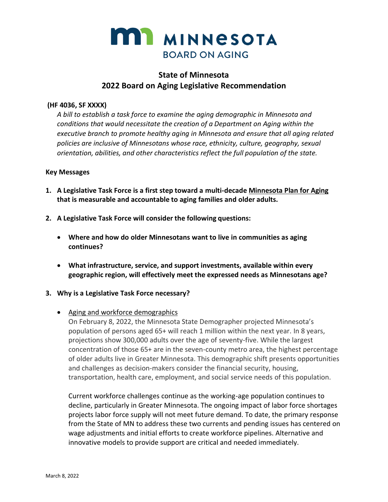

# **State of Minnesota 2022 Board on Aging Legislative Recommendation**

#### **(HF 4036, SF XXXX)**

*A bill to establish a task force to examine the aging demographic in Minnesota and conditions that would necessitate the creation of a Department on Aging within the executive branch to promote healthy aging in Minnesota and ensure that all aging related policies are inclusive of Minnesotans whose race, ethnicity, culture, geography, sexual orientation, abilities, and other characteristics reflect the full population of the state.* 

#### **Key Messages**

- **1. A Legislative Task Force is a first step toward a multi-decade Minnesota Plan for Aging that is measurable and accountable to aging families and older adults.**
- **2. A Legislative Task Force will consider the following questions:**
	- **Where and how do older Minnesotans want to live in communities as aging continues?**
	- **What infrastructure, service, and support investments, available within every geographic region, will effectively meet the expressed needs as Minnesotans age?**

## **3. Why is a Legislative Task Force necessary?**

• Aging and workforce demographics

On February 8, 2022, the Minnesota State Demographer projected Minnesota's population of persons aged 65+ will reach 1 million within the next year. In 8 years, projections show 300,000 adults over the age of seventy-five. While the largest concentration of those 65+ are in the seven-county metro area, the highest percentage of older adults live in Greater Minnesota. This demographic shift presents opportunities and challenges as decision-makers consider the financial security, housing, transportation, health care, employment, and social service needs of this population.

Current workforce challenges continue as the working-age population continues to decline, particularly in Greater Minnesota. The ongoing impact of labor force shortages projects labor force supply will not meet future demand. To date, the primary response from the State of MN to address these two currents and pending issues has centered on wage adjustments and initial efforts to create workforce pipelines. Alternative and innovative models to provide support are critical and needed immediately.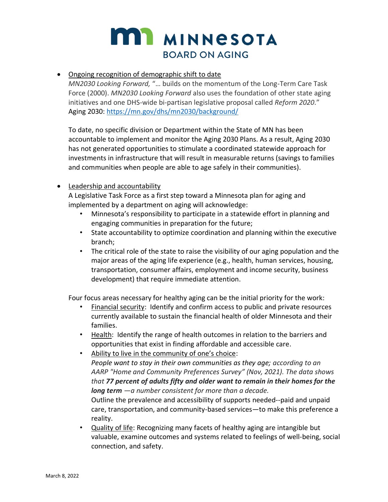

# • Ongoing recognition of demographic shift to date

*MN2030 Looking Forward,* "… builds on the momentum of the Long-Term Care Task Force (2000). *MN2030 Looking Forward* also uses the foundation of other state aging initiatives and one DHS-wide bi-partisan legislative proposal called *Reform 2020*." Aging 2030:<https://mn.gov/dhs/mn2030/background/>

To date, no specific division or Department within the State of MN has been accountable to implement and monitor the Aging 2030 Plans. As a result, Aging 2030 has not generated opportunities to stimulate a coordinated statewide approach for investments in infrastructure that will result in measurable returns (savings to families and communities when people are able to age safely in their communities).

## • Leadership and accountability

A Legislative Task Force as a first step toward a Minnesota plan for aging and implemented by a department on aging will acknowledge:

- Minnesota's responsibility to participate in a statewide effort in planning and engaging communities in preparation for the future;
- State accountability to optimize coordination and planning within the executive branch;
- The critical role of the state to raise the visibility of our aging population and the major areas of the aging life experience (e.g., health, human services, housing, transportation, consumer affairs, employment and income security, business development) that require immediate attention.

Four focus areas necessary for healthy aging can be the initial priority for the work:

- Financial security: Identify and confirm access to public and private resources currently available to sustain the financial health of older Minnesota and their families.
- Health: Identify the range of health outcomes in relation to the barriers and opportunities that exist in finding affordable and accessible care.
- Ability to live in the community of one's choice: *People want to stay in their own communities as they age; according to an AARP "Home and Community Preferences Survey" (Nov, 2021). The data shows that 77 percent of adults fifty and older want to remain in their homes for the long term —a number consistent for more than a decade.* Outline the prevalence and accessibility of supports needed--paid and unpaid

care, transportation, and community-based services—to make this preference a reality.

• [Quality](https://www.bellpolicy.org/2021/11/15/state-of-aging-quality-of-life/) of life: Recognizing many facets of healthy aging are intangible but valuable, examine outcomes and systems related to feelings of well-being, social connection, and safety.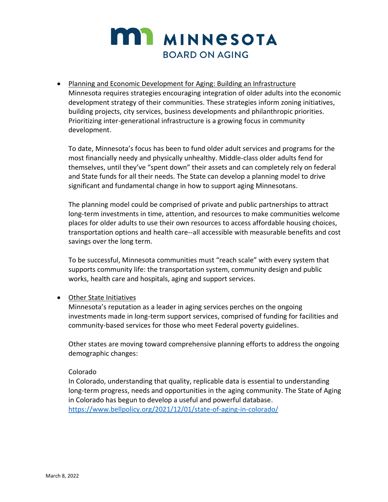

• Planning and Economic Development for Aging: Building an Infrastructure Minnesota requires strategies encouraging integration of older adults into the economic development strategy of their communities. These strategies inform zoning initiatives, building projects, city services, business developments and philanthropic priorities. Prioritizing inter-generational infrastructure is a growing focus in community development.

To date, Minnesota's focus has been to fund older adult services and programs for the most financially needy and physically unhealthy. Middle-class older adults fend for themselves, until they've "spent down" their assets and can completely rely on federal and State funds for all their needs. The State can develop a planning model to drive significant and fundamental change in how to support aging Minnesotans.

The planning model could be comprised of private and public partnerships to attract long-term investments in time, attention, and resources to make communities welcome places for older adults to use their own resources to access affordable housing choices, transportation options and health care--all accessible with measurable benefits and cost savings over the long term.

To be successful, Minnesota communities must "reach scale" with every system that supports community life: the transportation system, community design and public works, health care and hospitals, aging and support services.

## • Other State Initiatives

Minnesota's reputation as a leader in aging services perches on the ongoing investments made in long-term support services, comprised of funding for facilities and community-based services for those who meet Federal poverty guidelines.

Other states are moving toward comprehensive planning efforts to address the ongoing demographic changes:

#### Colorado

In Colorado, understanding that quality, replicable data is essential to understanding long-term progress, needs and opportunities in the aging community. The State of Aging in Colorado has begun to develop a useful and powerful database. <https://www.bellpolicy.org/2021/12/01/state-of-aging-in-colorado/>